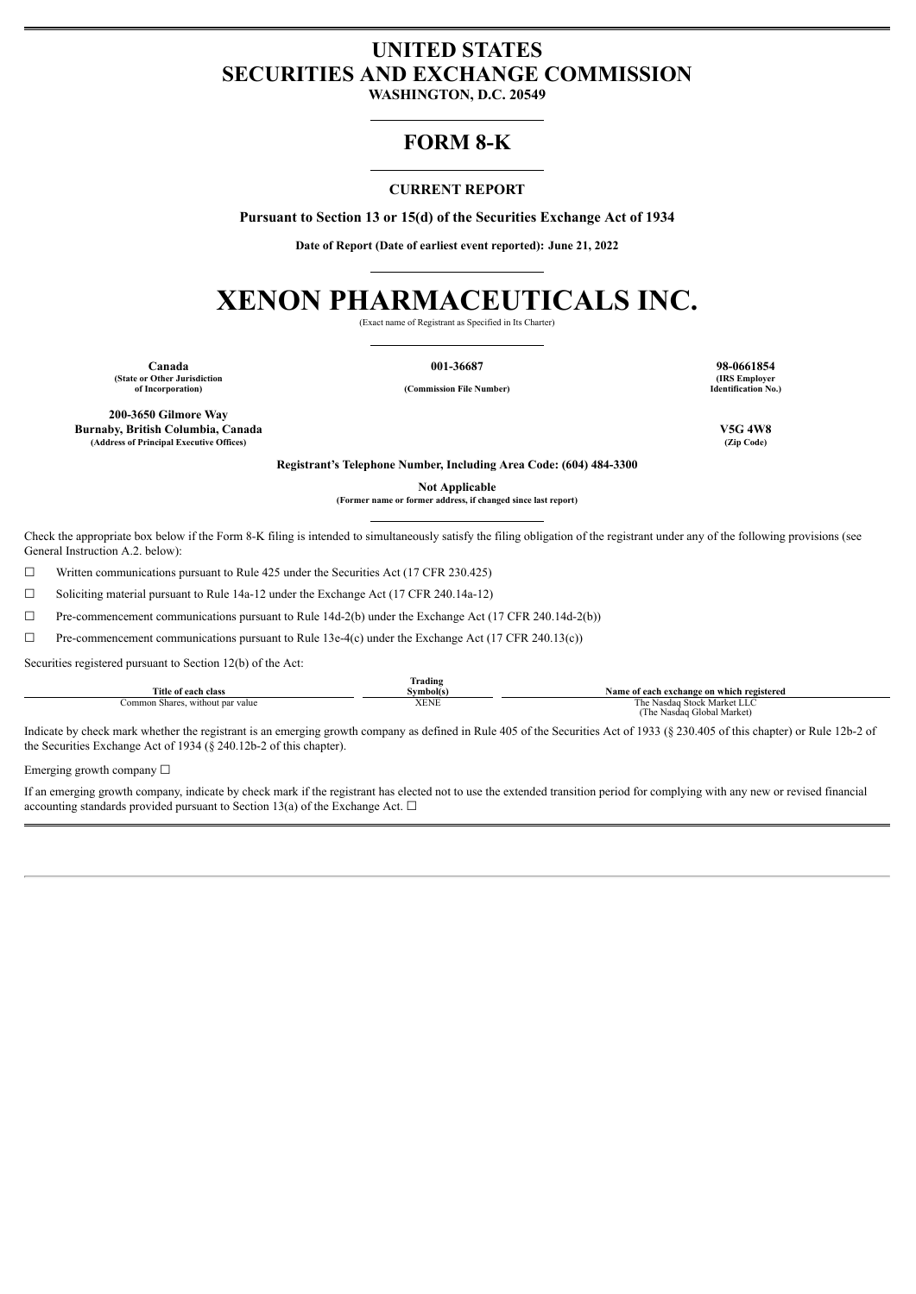# **UNITED STATES SECURITIES AND EXCHANGE COMMISSION**

**WASHINGTON, D.C. 20549**

# **FORM 8-K**

## **CURRENT REPORT**

**Pursuant to Section 13 or 15(d) of the Securities Exchange Act of 1934**

**Date of Report (Date of earliest event reported): June 21, 2022**

# **XENON PHARMACEUTICALS INC.**

(Exact name of Registrant as Specified in Its Charter)

**of Incorporation) (Commission File Number)**

**Canada 001-36687 98-0661854 (IRS Employer Identification No.)**

**200-3650 Gilmore Way Burnaby, British Columbia, Canada V5G 4W8 (Address of Principal Executive Offices) (Zip Code)**

**(State or Other Jurisdiction**

**Registrant's Telephone Number, Including Area Code: (604) 484-3300**

**Not Applicable**

**(Former name or former address, if changed since last report)**

Check the appropriate box below if the Form 8-K filing is intended to simultaneously satisfy the filing obligation of the registrant under any of the following provisions (see General Instruction A.2. below):

 $\Box$  Written communications pursuant to Rule 425 under the Securities Act (17 CFR 230.425)

☐ Soliciting material pursuant to Rule 14a-12 under the Exchange Act (17 CFR 240.14a-12)

 $\Box$  Pre-commencement communications pursuant to Rule 14d-2(b) under the Exchange Act (17 CFR 240.14d-2(b))

 $\Box$  Pre-commencement communications pursuant to Rule 13e-4(c) under the Exchange Act (17 CFR 240.13(c))

Securities registered pursuant to Section 12(b) of the Act:

|                                  | Trading     |                                           |
|----------------------------------|-------------|-------------------------------------------|
| Title of each class              | ~vmbol(s.   | Name of each exchange on which registered |
| Common Shares, without par value | <b>XENE</b> | The Nasdag Stock Market LLC               |
|                                  |             | (The Nasdag Global Market)                |

Indicate by check mark whether the registrant is an emerging growth company as defined in Rule 405 of the Securities Act of 1933 (§ 230.405 of this chapter) or Rule 12b-2 of the Securities Exchange Act of 1934 (§ 240.12b-2 of this chapter).

Emerging growth company ☐

If an emerging growth company, indicate by check mark if the registrant has elected not to use the extended transition period for complying with any new or revised financial accounting standards provided pursuant to Section 13(a) of the Exchange Act.  $\Box$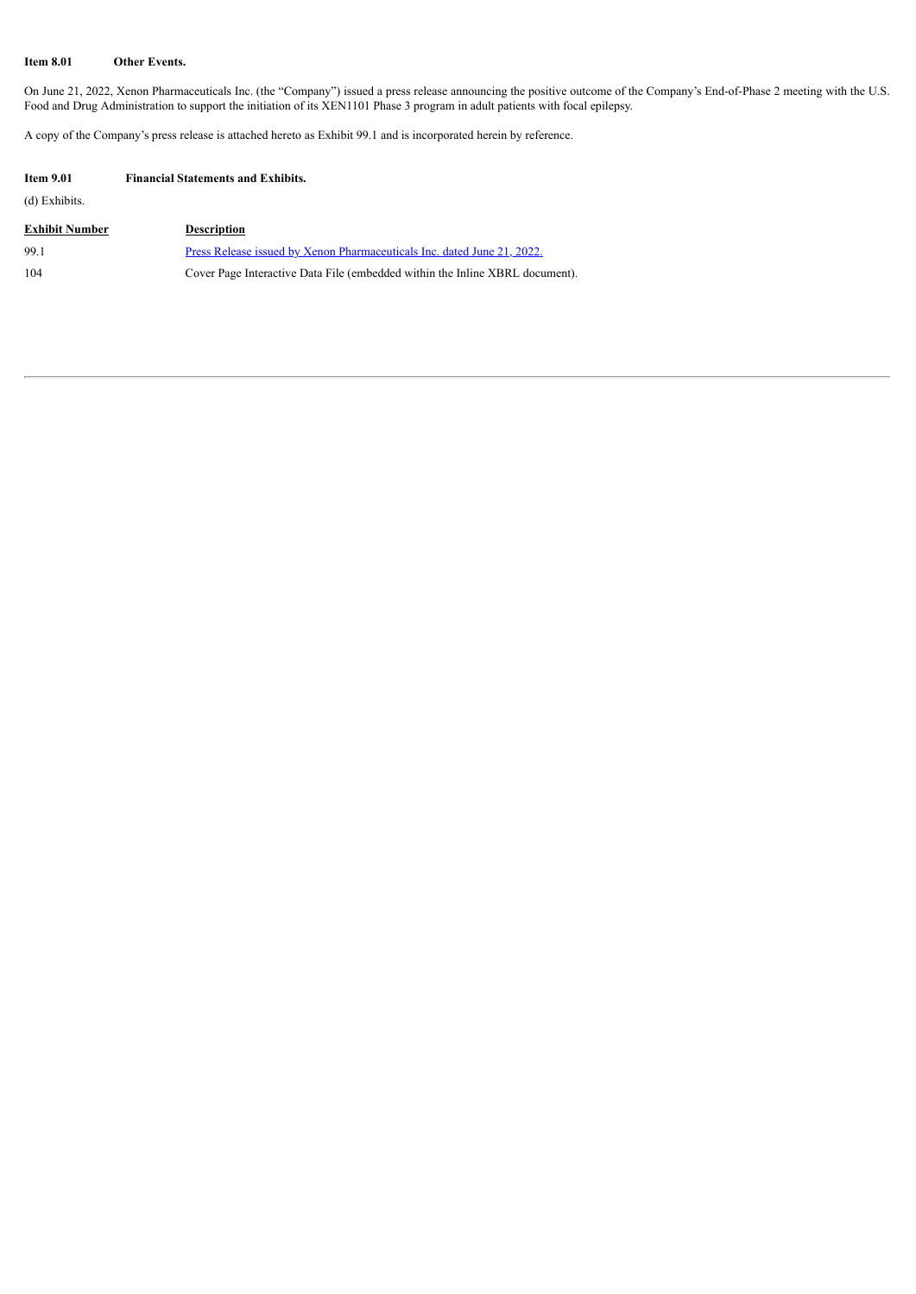# **Item 8.01 Other Events.**

On June 21, 2022, Xenon Pharmaceuticals Inc. (the "Company") issued a press release announcing the positive outcome of the Company's End-of-Phase 2 meeting with the U.S. Food and Drug Administration to support the initiation of its XEN1101 Phase 3 program in adult patients with focal epilepsy.

A copy of the Company's press release is attached hereto as Exhibit 99.1 and is incorporated herein by reference.

| <b>Item 9.01</b>      | <b>Financial Statements and Exhibits.</b>                                    |
|-----------------------|------------------------------------------------------------------------------|
| (d) Exhibits.         |                                                                              |
| <b>Exhibit Number</b> | <b>Description</b>                                                           |
| 99.1                  | Press Release issued by Xenon Pharmaceuticals Inc. dated June 21, 2022.      |
| 104                   | Cover Page Interactive Data File (embedded within the Inline XBRL document). |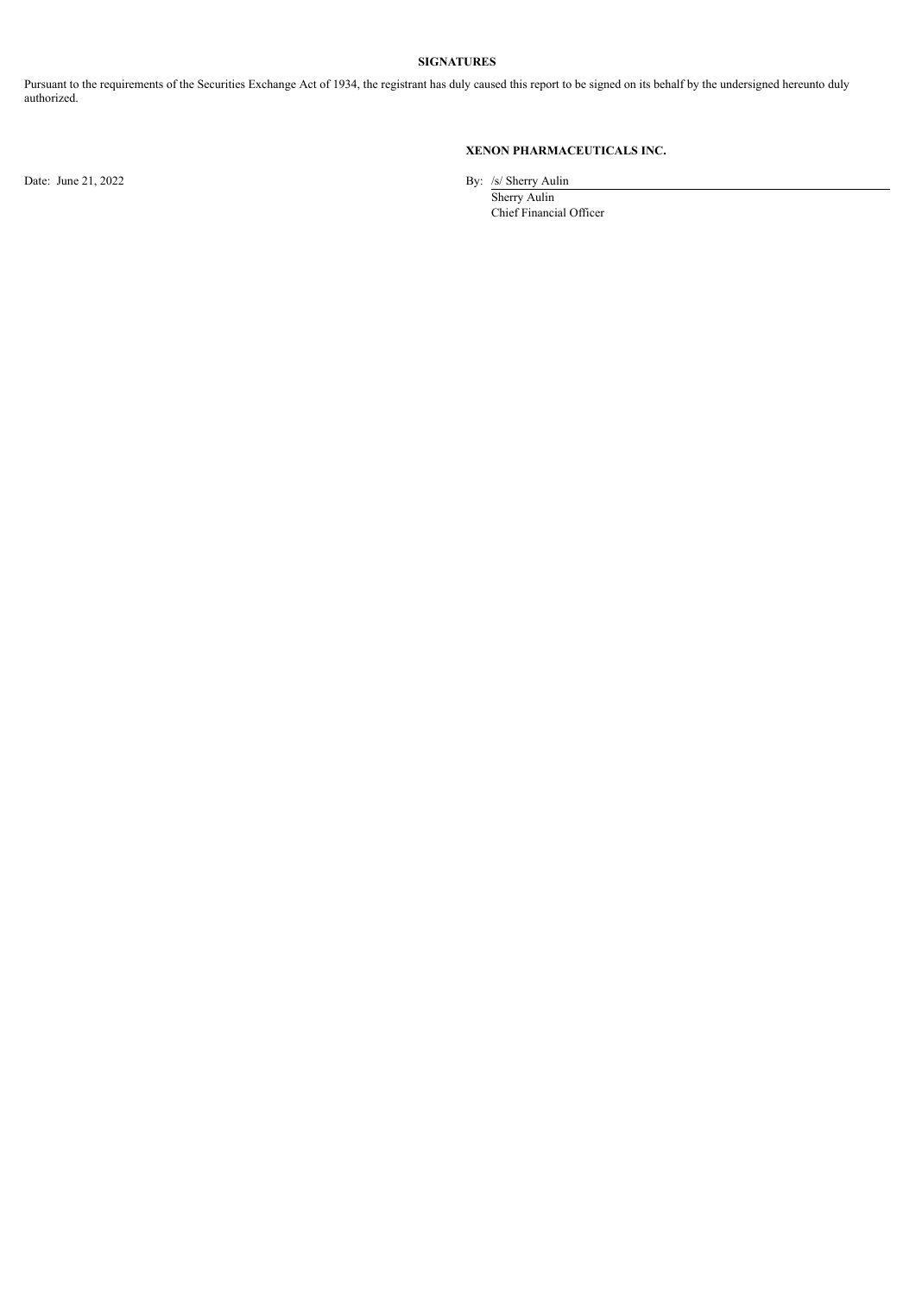# **SIGNATURES**

Pursuant to the requirements of the Securities Exchange Act of 1934, the registrant has duly caused this report to be signed on its behalf by the undersigned hereunto duly authorized.

## **XENON PHARMACEUTICALS INC.**

Sherry Aulin Chief Financial Officer

Date: June 21, 2022 By: /s/ Sherry Aulin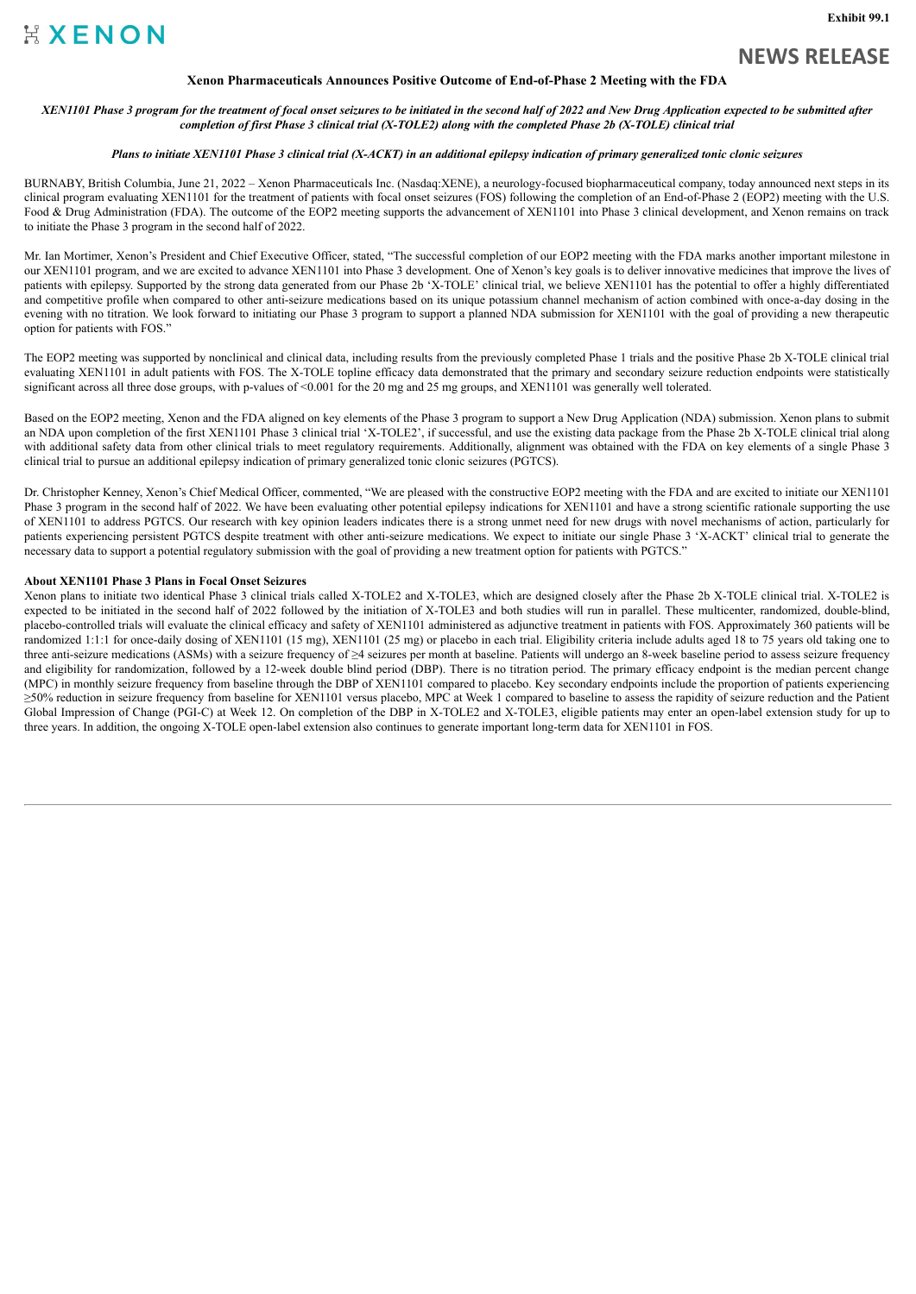# **NEWS RELEASE**

#### **Xenon Pharmaceuticals Announces Positive Outcome of End-of-Phase 2 Meeting with the FDA**

#### <span id="page-3-0"></span>XEN1101 Phase 3 program for the treatment of focal onset seizures to be initiated in the second half of 2022 and New Drug Application expected to be submitted after completion of first Phase 3 clinical trial (X-TOLE2) along with the completed Phase 2b (X-TOLE) clinical trial

#### Plans to initiate XEN1101 Phase 3 clinical trial (X-ACKT) in an additional epilepsy indication of primary generalized tonic clonic seizures

BURNABY, British Columbia, June 21, 2022 – Xenon Pharmaceuticals Inc. (Nasdaq:XENE), a neurology-focused biopharmaceutical company, today announced next steps in its clinical program evaluating XEN1101 for the treatment of patients with focal onset seizures (FOS) following the completion of an End-of-Phase 2 (EOP2) meeting with the U.S. Food & Drug Administration (FDA). The outcome of the EOP2 meeting supports the advancement of XEN1101 into Phase 3 clinical development, and Xenon remains on track to initiate the Phase 3 program in the second half of 2022.

Mr. Ian Mortimer, Xenon's President and Chief Executive Officer, stated, "The successful completion of our EOP2 meeting with the FDA marks another important milestone in our XEN1101 program, and we are excited to advance XEN1101 into Phase 3 development. One of Xenon's key goals is to deliver innovative medicines that improve the lives of patients with epilepsy. Supported by the strong data generated from our Phase 2b 'X-TOLE' clinical trial, we believe XEN1101 has the potential to offer a highly differentiated and competitive profile when compared to other anti-seizure medications based on its unique potassium channel mechanism of action combined with once-a-day dosing in the evening with no titration. We look forward to initiating our Phase 3 program to support a planned NDA submission for XEN1101 with the goal of providing a new therapeutic option for patients with FOS."

The EOP2 meeting was supported by nonclinical and clinical data, including results from the previously completed Phase 1 trials and the positive Phase 2b X-TOLE clinical trial evaluating XEN1101 in adult patients with FOS. The X-TOLE topline efficacy data demonstrated that the primary and secondary seizure reduction endpoints were statistically significant across all three dose groups, with p-values of <0.001 for the 20 mg and 25 mg groups, and XEN1101 was generally well tolerated.

Based on the EOP2 meeting, Xenon and the FDA aligned on key elements of the Phase 3 program to support a New Drug Application (NDA) submission. Xenon plans to submit an NDA upon completion of the first XEN1101 Phase 3 clinical trial 'X-TOLE2', if successful, and use the existing data package from the Phase 2b X-TOLE clinical trial along with additional safety data from other clinical trials to meet regulatory requirements. Additionally, alignment was obtained with the FDA on key elements of a single Phase 3 clinical trial to pursue an additional epilepsy indication of primary generalized tonic clonic seizures (PGTCS).

Dr. Christopher Kenney, Xenon's Chief Medical Officer, commented, "We are pleased with the constructive EOP2 meeting with the FDA and are excited to initiate our XEN1101 Phase 3 program in the second half of 2022. We have been evaluating other potential epilepsy indications for XEN1101 and have a strong scientific rationale supporting the use of XEN1101 to address PGTCS. Our research with key opinion leaders indicates there is a strong unmet need for new drugs with novel mechanisms of action, particularly for patients experiencing persistent PGTCS despite treatment with other anti-seizure medications. We expect to initiate our single Phase 3 'X-ACKT' clinical trial to generate the necessary data to support a potential regulatory submission with the goal of providing a new treatment option for patients with PGTCS."

#### **About XEN1101 Phase 3 Plans in Focal Onset Seizures**

Xenon plans to initiate two identical Phase 3 clinical trials called X-TOLE2 and X-TOLE3, which are designed closely after the Phase 2b X-TOLE clinical trial. X-TOLE2 is expected to be initiated in the second half of 2022 followed by the initiation of X-TOLE3 and both studies will run in parallel. These multicenter, randomized, double-blind, placebo-controlled trials will evaluate the clinical efficacy and safety of XEN1101 administered as adjunctive treatment in patients with FOS. Approximately 360 patients will be randomized 1:1:1 for once-daily dosing of XEN1101 (15 mg), XEN1101 (25 mg) or placebo in each trial. Eligibility criteria include adults aged 18 to 75 years old taking one to three anti-seizure medications (ASMs) with a seizure frequency of ≥4 seizures per month at baseline. Patients will undergo an 8-week baseline period to assess seizure frequency and eligibility for randomization, followed by a 12-week double blind period (DBP). There is no titration period. The primary efficacy endpoint is the median percent change (MPC) in monthly seizure frequency from baseline through the DBP of XEN1101 compared to placebo. Key secondary endpoints include the proportion of patients experiencing ≥50% reduction in seizure frequency from baseline for XEN1101 versus placebo, MPC at Week 1 compared to baseline to assess the rapidity of seizure reduction and the Patient Global Impression of Change (PGI-C) at Week 12. On completion of the DBP in X-TOLE2 and X-TOLE3, eligible patients may enter an open-label extension study for up to three years. In addition, the ongoing X-TOLE open-label extension also continues to generate important long-term data for XEN1101 in FOS.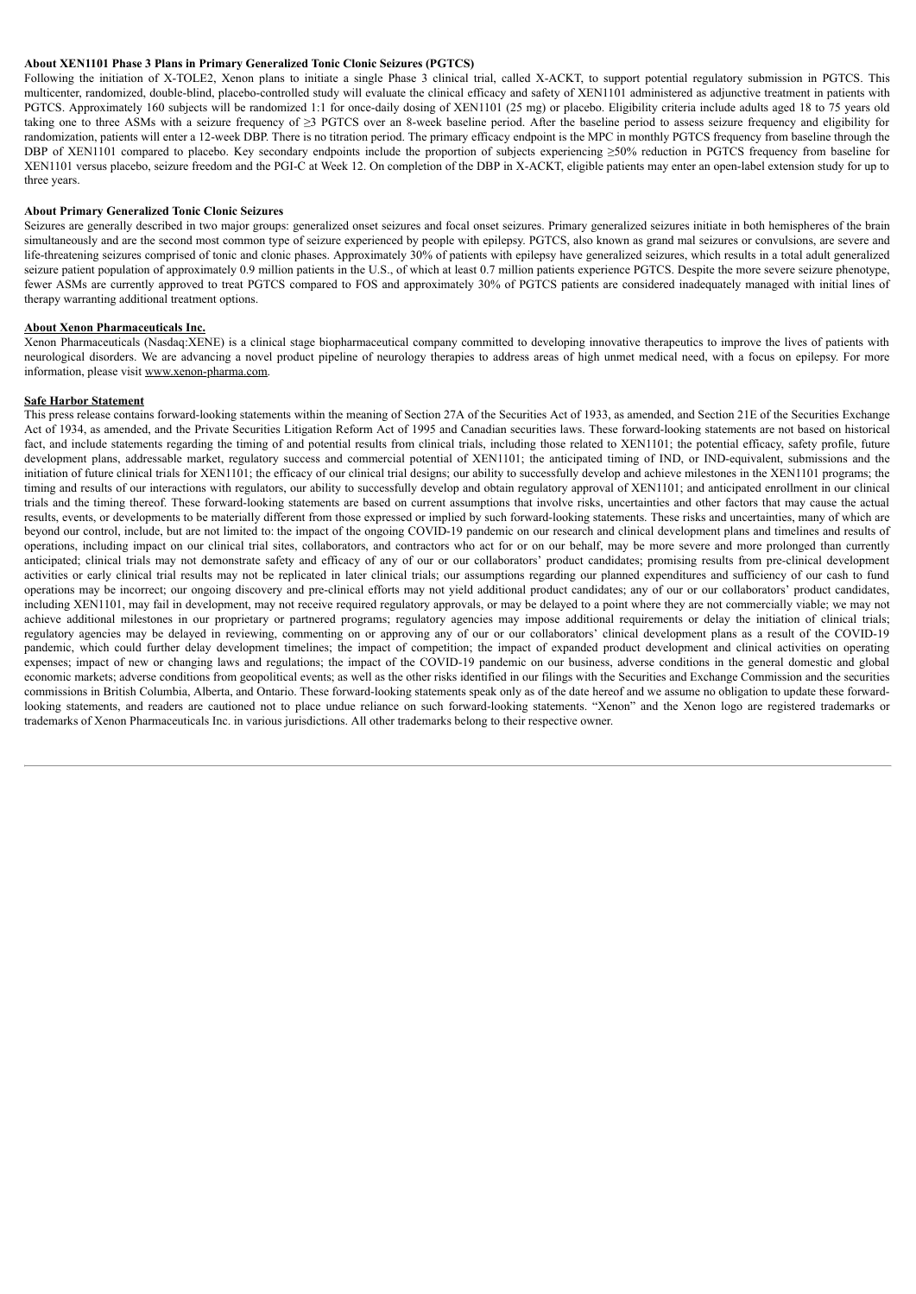#### **About XEN1101 Phase 3 Plans in Primary Generalized Tonic Clonic Seizures (PGTCS)**

Following the initiation of X-TOLE2, Xenon plans to initiate a single Phase 3 clinical trial, called X-ACKT, to support potential regulatory submission in PGTCS. This multicenter, randomized, double-blind, placebo-controlled study will evaluate the clinical efficacy and safety of XEN1101 administered as adjunctive treatment in patients with PGTCS. Approximately 160 subjects will be randomized 1:1 for once-daily dosing of XEN1101 (25 mg) or placebo. Eligibility criteria include adults aged 18 to 75 years old taking one to three ASMs with a seizure frequency of ≥3 PGTCS over an 8-week baseline period. After the baseline period to assess seizure frequency and eligibility for randomization, patients will enter a 12-week DBP. There is no titration period. The primary efficacy endpoint is the MPC in monthly PGTCS frequency from baseline through the DBP of XEN1101 compared to placebo. Key secondary endpoints include the proportion of subjects experiencing ≥50% reduction in PGTCS frequency from baseline for XEN1101 versus placebo, seizure freedom and the PGI-C at Week 12. On completion of the DBP in X-ACKT, eligible patients may enter an open-label extension study for up to three years.

## **About Primary Generalized Tonic Clonic Seizures**

Seizures are generally described in two major groups: generalized onset seizures and focal onset seizures. Primary generalized seizures initiate in both hemispheres of the brain simultaneously and are the second most common type of seizure experienced by people with epilepsy. PGTCS, also known as grand mal seizures or convulsions, are severe and life-threatening seizures comprised of tonic and clonic phases. Approximately 30% of patients with epilepsy have generalized seizures, which results in a total adult generalized seizure patient population of approximately 0.9 million patients in the U.S., of which at least 0.7 million patients experience PGTCS. Despite the more severe seizure phenotype, fewer ASMs are currently approved to treat PGTCS compared to FOS and approximately 30% of PGTCS patients are considered inadequately managed with initial lines of therapy warranting additional treatment options.

## **About Xenon Pharmaceuticals Inc.**

Xenon Pharmaceuticals (Nasdaq:XENE) is a clinical stage biopharmaceutical company committed to developing innovative therapeutics to improve the lives of patients with neurological disorders. We are advancing a novel product pipeline of neurology therapies to address areas of high unmet medical need, with a focus on epilepsy. For more information, please visit www.xenon-pharma.com.

#### **Safe Harbor Statement**

This press release contains forward-looking statements within the meaning of Section 27A of the Securities Act of 1933, as amended, and Section 21E of the Securities Exchange Act of 1934, as amended, and the Private Securities Litigation Reform Act of 1995 and Canadian securities laws. These forward-looking statements are not based on historical fact, and include statements regarding the timing of and potential results from clinical trials, including those related to XEN1101; the potential efficacy, safety profile, future development plans, addressable market, regulatory success and commercial potential of XEN1101; the anticipated timing of IND, or IND-equivalent, submissions and the initiation of future clinical trials for XEN1101; the efficacy of our clinical trial designs; our ability to successfully develop and achieve milestones in the XEN1101 programs; the timing and results of our interactions with regulators, our ability to successfully develop and obtain regulatory approval of XEN1101; and anticipated enrollment in our clinical trials and the timing thereof. These forward-looking statements are based on current assumptions that involve risks, uncertainties and other factors that may cause the actual results, events, or developments to be materially different from those expressed or implied by such forward-looking statements. These risks and uncertainties, many of which are beyond our control, include, but are not limited to: the impact of the ongoing COVID-19 pandemic on our research and clinical development plans and timelines and results of operations, including impact on our clinical trial sites, collaborators, and contractors who act for or on our behalf, may be more severe and more prolonged than currently anticipated; clinical trials may not demonstrate safety and efficacy of any of our or our collaborators' product candidates; promising results from pre-clinical development activities or early clinical trial results may not be replicated in later clinical trials; our assumptions regarding our planned expenditures and sufficiency of our cash to fund operations may be incorrect; our ongoing discovery and pre-clinical efforts may not yield additional product candidates; any of our or our collaborators' product candidates, including XEN1101, may fail in development, may not receive required regulatory approvals, or may be delayed to a point where they are not commercially viable; we may not achieve additional milestones in our proprietary or partnered programs; regulatory agencies may impose additional requirements or delay the initiation of clinical trials; regulatory agencies may be delayed in reviewing, commenting on or approving any of our or our collaborators' clinical development plans as a result of the COVID-19 pandemic, which could further delay development timelines; the impact of competition; the impact of expanded product development and clinical activities on operating expenses; impact of new or changing laws and regulations; the impact of the COVID-19 pandemic on our business, adverse conditions in the general domestic and global economic markets; adverse conditions from geopolitical events; as well as the other risks identified in our filings with the Securities and Exchange Commission and the securities commissions in British Columbia, Alberta, and Ontario. These forward-looking statements speak only as of the date hereof and we assume no obligation to update these forwardlooking statements, and readers are cautioned not to place undue reliance on such forward-looking statements. "Xenon" and the Xenon logo are registered trademarks or trademarks of Xenon Pharmaceuticals Inc. in various jurisdictions. All other trademarks belong to their respective owner.